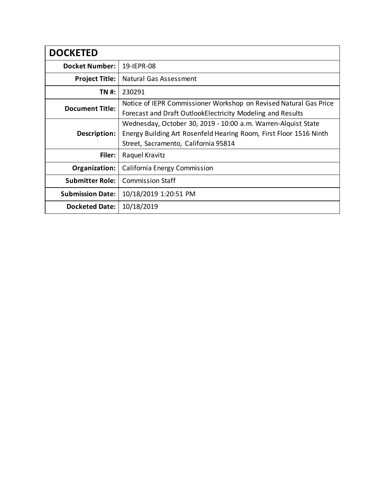| <b>DOCKETED</b>         |                                                                                                                                                                             |
|-------------------------|-----------------------------------------------------------------------------------------------------------------------------------------------------------------------------|
| <b>Docket Number:</b>   | 19-IEPR-08                                                                                                                                                                  |
| <b>Project Title:</b>   | Natural Gas Assessment                                                                                                                                                      |
| TN #:                   | 230291                                                                                                                                                                      |
| <b>Document Title:</b>  | Notice of IEPR Commissioner Workshop on Revised Natural Gas Price<br>Forecast and Draft OutlookElectricity Modeling and Results                                             |
| Description:            | Wednesday, October 30, 2019 - 10:00 a.m. Warren-Alquist State<br>Energy Building Art Rosenfeld Hearing Room, First Floor 1516 Ninth<br>Street, Sacramento, California 95814 |
| Filer:                  | Raquel Kravitz                                                                                                                                                              |
| Organization:           | California Energy Commission                                                                                                                                                |
| <b>Submitter Role:</b>  | <b>Commission Staff</b>                                                                                                                                                     |
| <b>Submission Date:</b> | 10/18/2019 1:20:51 PM                                                                                                                                                       |
| <b>Docketed Date:</b>   | 10/18/2019                                                                                                                                                                  |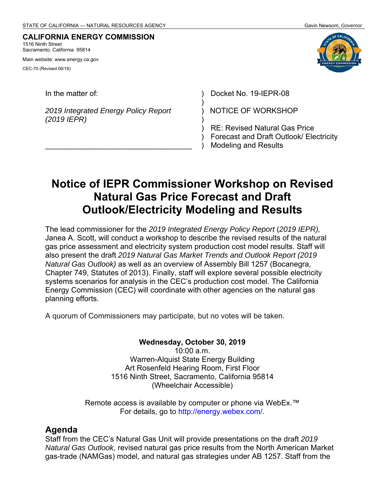#### **CALIFORNIA ENERGY COMMISSION** 1516 Ninth Street

Sacramento, California 95814

Main website: www.energy.ca.gov CEC-70 (Revised 06/18)

*2019 Integrated Energy Policy Report (2019 IEPR)* 

 $\mathcal{L}_\text{max}$  , and the set of the set of the set of the set of the set of the set of the set of the set of the set of the set of the set of the set of the set of the set of the set of the set of the set of the set of the



In the matter of: ) Docket No. 19-IEPR-08

NOTICE OF WORKSHOP

RE: Revised Natural Gas Price Forecast and Draft Outlook/ Electricity Modeling and Results

# **Notice of IEPR Commissioner Workshop on Revised Natural Gas Price Forecast and Draft Outlook/Electricity Modeling and Results**

) ) ) ) ) )

The lead commissioner for the *2019 Integrated Energy Policy Report* (*2019 IEPR),*  Janea A. Scott, will conduct a workshop to describe the revised results of the natural gas price assessment and electricity system production cost model results. Staff will also present the draft *2019 Natural Gas Market Trends and Outlook Report (2019 Natural Gas Outlook)* as well as an overview of Assembly Bill 1257 (Bocanegra, Chapter 749, Statutes of 2013). Finally, staff will explore several possible electricity systems scenarios for analysis in the CEC's production cost model. The California Energy Commission (CEC) will coordinate with other agencies on the natural gas planning efforts.

A quorum of Commissioners may participate, but no votes will be taken.

**Wednesday, October 30, 2019**   $10:00$  a.m. Warren-Alquist State Energy Building Art Rosenfeld Hearing Room, First Floor 1516 Ninth Street, Sacramento, California 95814 (Wheelchair Accessible)

Remote access is available by computer or phone via WebEx.™ For details, go to http://energy.webex.com/.

#### **Agenda**

Staff from the CEC's Natural Gas Unit will provide presentations on the draft *2019 Natural Gas Outlook,* revised natural gas price results from the North American Market gas-trade (NAMGas) model, and natural gas strategies under AB 1257. Staff from the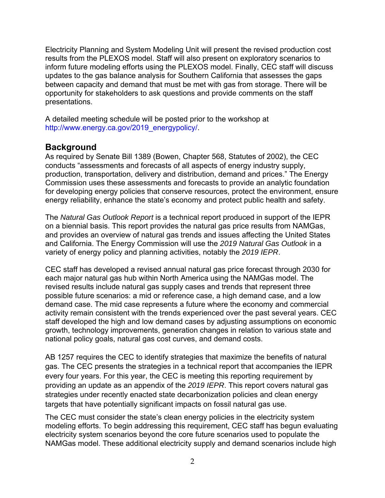Electricity Planning and System Modeling Unit will present the revised production cost results from the PLEXOS model. Staff will also present on exploratory scenarios to inform future modeling efforts using the PLEXOS model. Finally, CEC staff will discuss updates to the gas balance analysis for Southern California that assesses the gaps between capacity and demand that must be met with gas from storage. There will be opportunity for stakeholders to ask questions and provide comments on the staff presentations.

A detailed meeting schedule will be posted prior to the workshop at http://www.energy.ca.gov/2019\_energypolicy/.

#### **Background**

As required by Senate Bill 1389 (Bowen, Chapter 568, Statutes of 2002), the CEC conducts "assessments and forecasts of all aspects of energy industry supply, production, transportation, delivery and distribution, demand and prices." The Energy Commission uses these assessments and forecasts to provide an analytic foundation for developing energy policies that conserve resources, protect the environment, ensure energy reliability, enhance the state's economy and protect public health and safety.

The *Natural Gas Outlook Report* is a technical report produced in support of the IEPR on a biennial basis. This report provides the natural gas price results from NAMGas, and provides an overview of natural gas trends and issues affecting the United States and California. The Energy Commission will use the *2019 Natural Gas Outlook* in a variety of energy policy and planning activities, notably the *2019 IEPR*.

CEC staff has developed a revised annual natural gas price forecast through 2030 for each major natural gas hub within North America using the NAMGas model. The revised results include natural gas supply cases and trends that represent three possible future scenarios: a mid or reference case, a high demand case, and a low demand case. The mid case represents a future where the economy and commercial activity remain consistent with the trends experienced over the past several years. CEC staff developed the high and low demand cases by adjusting assumptions on economic growth, technology improvements, generation changes in relation to various state and national policy goals, natural gas cost curves, and demand costs.

AB 1257 requires the CEC to identify strategies that maximize the benefits of natural gas. The CEC presents the strategies in a technical report that accompanies the IEPR every four years. For this year, the CEC is meeting this reporting requirement by providing an update as an appendix of the *2019 IEPR*. This report covers natural gas strategies under recently enacted state decarbonization policies and clean energy targets that have potentially significant impacts on fossil natural gas use.

The CEC must consider the state's clean energy policies in the electricity system modeling efforts. To begin addressing this requirement, CEC staff has begun evaluating electricity system scenarios beyond the core future scenarios used to populate the NAMGas model. These additional electricity supply and demand scenarios include high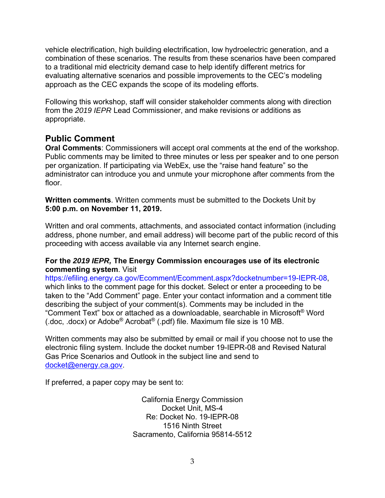vehicle electrification, high building electrification, low hydroelectric generation, and a combination of these scenarios. The results from these scenarios have been compared to a traditional mid electricity demand case to help identify different metrics for evaluating alternative scenarios and possible improvements to the CEC's modeling approach as the CEC expands the scope of its modeling efforts.

Following this workshop, staff will consider stakeholder comments along with direction from the *2019 IEPR* Lead Commissioner, and make revisions or additions as appropriate.

### **Public Comment**

**Oral Comments**: Commissioners will accept oral comments at the end of the workshop. Public comments may be limited to three minutes or less per speaker and to one person per organization. If participating via WebEx, use the "raise hand feature" so the administrator can introduce you and unmute your microphone after comments from the floor.

**Written comments**. Written comments must be submitted to the Dockets Unit by **5:00 p.m. on November 11, 2019.** 

Written and oral comments, attachments, and associated contact information (including address, phone number, and email address) will become part of the public record of this proceeding with access available via any Internet search engine.

#### **For the** *2019 IEPR,* **The Energy Commission encourages use of its electronic commenting system**. Visit

https://efiling.energy.ca.gov/Ecomment/Ecomment.aspx?docketnumber=19-IEPR-08, which links to the comment page for this docket. Select or enter a proceeding to be taken to the "Add Comment" page. Enter your contact information and a comment title describing the subject of your comment(s). Comments may be included in the "Comment Text" box or attached as a downloadable, searchable in Microsoft® Word (.doc, .docx) or Adobe® Acrobat® (.pdf) file. Maximum file size is 10 MB.

Written comments may also be submitted by email or mail if you choose not to use the electronic filing system. Include the docket number 19-IEPR-08 and Revised Natural Gas Price Scenarios and Outlook in the subject line and send to docket@energy.ca.gov.

If preferred, a paper copy may be sent to:

California Energy Commission Docket Unit, MS-4 Re: Docket No. 19-IEPR-08 1516 Ninth Street Sacramento, California 95814-5512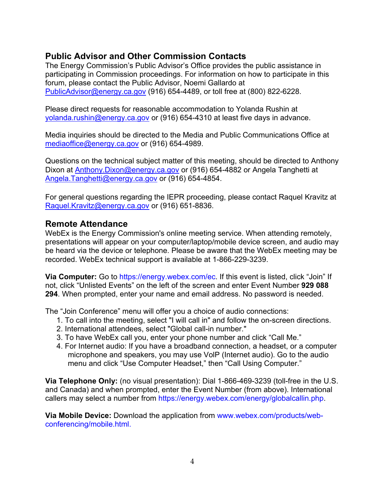## **Public Advisor and Other Commission Contacts**

The Energy Commission's Public Advisor's Office provides the public assistance in participating in Commission proceedings. For information on how to participate in this forum, please contact the Public Advisor, Noemi Gallardo at PublicAdvisor@energy.ca.gov (916) 654-4489, or toll free at (800) 822-6228.

Please direct requests for reasonable accommodation to Yolanda Rushin at yolanda.rushin@energy.ca.gov or (916) 654-4310 at least five days in advance.

Media inquiries should be directed to the Media and Public Communications Office at mediaoffice@energy.ca.gov or (916) 654-4989.

Questions on the technical subject matter of this meeting, should be directed to Anthony Dixon at Anthony.Dixon@energy.ca.gov or (916) 654-4882 or Angela Tanghetti at Angela.Tanghetti@energy.ca.gov or (916) 654-4854.

For general questions regarding the IEPR proceeding, please contact Raquel Kravitz at Raquel.Kravitz@energy.ca.gov or (916) 651-8836.

### **Remote Attendance**

WebEx is the Energy Commission's online meeting service. When attending remotely, presentations will appear on your computer/laptop/mobile device screen, and audio may be heard via the device or telephone. Please be aware that the WebEx meeting may be recorded. WebEx technical support is available at 1-866-229-3239.

**Via Computer:** Go to https://energy.webex.com/ec. If this event is listed, click "Join" If not, click "Unlisted Events" on the left of the screen and enter Event Number **929 088 294**. When prompted, enter your name and email address. No password is needed.

The "Join Conference" menu will offer you a choice of audio connections:

- 1. To call into the meeting, select "I will call in" and follow the on-screen directions.
- 2. International attendees, select "Global call-in number."
- 3. To have WebEx call you, enter your phone number and click "Call Me."
- 4. For Internet audio: If you have a broadband connection, a headset, or a computer microphone and speakers, you may use VolP (Internet audio). Go to the audio menu and click "Use Computer Headset," then "Call Using Computer."

**Via Telephone Only:** (no visual presentation): Dial 1-866-469-3239 (toll-free in the U.S. and Canada) and when prompted, enter the Event Number (from above). International callers may select a number from https://energy.webex.com/energy/globalcallin.php.

**Via Mobile Device:** Download the application from www.webex.com/products/webconferencing/mobile.html.